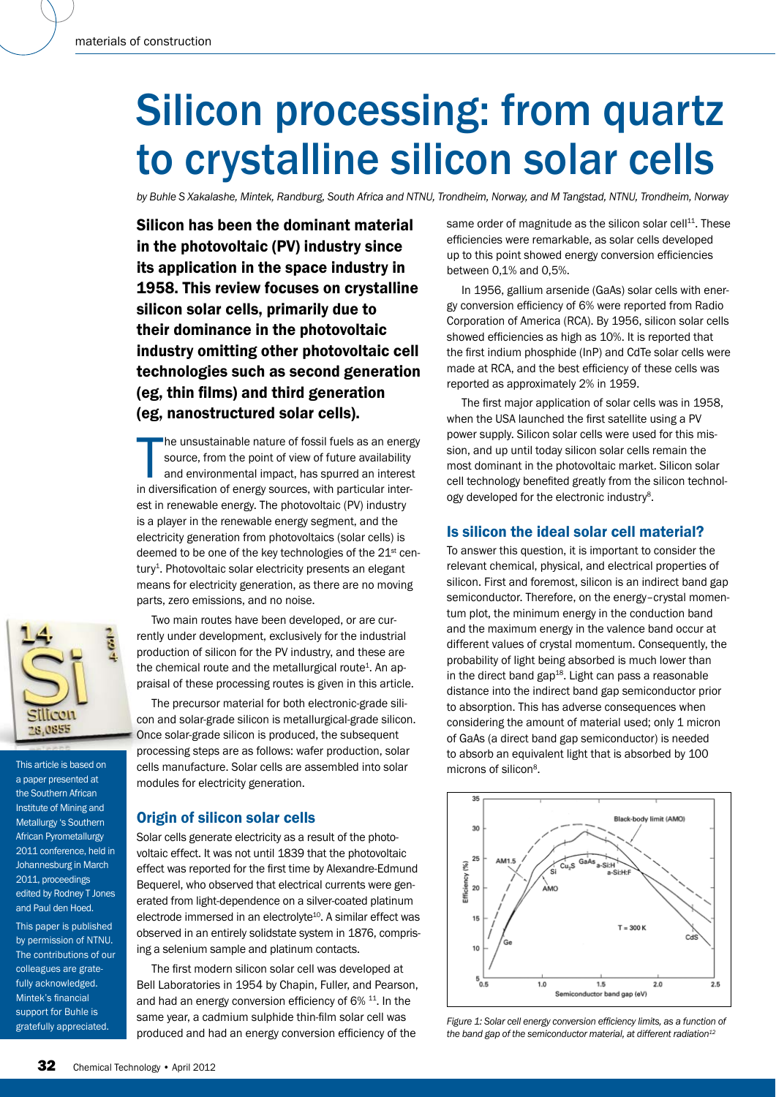# Silicon processing: from quartz to crystalline silicon solar cells

*by Buhle S Xakalashe, Mintek, Randburg, South Africa and NTNU, Trondheim, Norway, and M Tangstad, NTNU, Trondheim, Norway*

Silicon has been the dominant material in the photovoltaic (PV) industry since its application in the space industry in 1958. This review focuses on crystalline silicon solar cells, primarily due to their dominance in the photovoltaic industry omitting other photovoltaic cell technologies such as second generation (eg. thin films) and third generation (eg, nanostructured solar cells).

The unsustainable nature of fossil fuels as an energy source, from the point of view of future availability and environmental impact, has spurred an interes in diversification of energy sources, with particular interhe unsustainable nature of fossil fuels as an energy source, from the point of view of future availability and environmental impact, has spurred an interest est in renewable energy. The photovoltaic (PV) industry is a player in the renewable energy segment, and the electricity generation from photovoltaics (solar cells) is deemed to be one of the key technologies of the 21<sup>st</sup> century<sup>1</sup>. Photovoltaic solar electricity presents an elegant means for electricity generation, as there are no moving parts, zero emissions, and no noise.

Two main routes have been developed, or are currently under development, exclusively for the industrial production of silicon for the PV industry, and these are the chemical route and the metallurgical route<sup>1</sup>. An appraisal of these processing routes is given in this article.

The precursor material for both electronic-grade silicon and solar-grade silicon is metallurgical-grade silicon. Once solar-grade silicon is produced, the subsequent processing steps are as follows: wafer production, solar cells manufacture. Solar cells are assembled into solar modules for electricity generation.

# Origin of silicon solar cells

Solar cells generate electricity as a result of the photovoltaic effect. It was not until 1839 that the photovoltaic effect was reported for the first time by Alexandre-Edmund Bequerel, who observed that electrical currents were generated from light-dependence on a silver-coated platinum electrode immersed in an electrolyte<sup>10</sup>. A similar effect was observed in an entirely solidstate system in 1876, comprising a selenium sample and platinum contacts.

The first modern silicon solar cell was developed at Bell Laboratories in 1954 by Chapin, Fuller, and Pearson, and had an energy conversion efficiency of  $6\%$  <sup>11</sup>. In the same year, a cadmium sulphide thin-film solar cell was produced and had an energy conversion efficiency of the

same order of magnitude as the silicon solar cell $^{11}$ . These efficiencies were remarkable, as solar cells developed up to this point showed energy conversion efficiencies between 0,1% and 0,5%.

In 1956, gallium arsenide (GaAs) solar cells with energy conversion efficiency of 6% were reported from Radio Corporation of America (RCA). By 1956, silicon solar cells showed efficiencies as high as 10%. It is reported that the first indium phosphide (InP) and CdTe solar cells were made at RCA, and the best efficiency of these cells was reported as approximately 2% in 1959.

The first major application of solar cells was in 1958, when the USA launched the first satellite using a PV power supply. Silicon solar cells were used for this mission, and up until today silicon solar cells remain the most dominant in the photovoltaic market. Silicon solar cell technology benefited greatly from the silicon technology developed for the electronic industry<sup>8</sup>.

# Is silicon the ideal solar cell material?

To answer this question, it is important to consider the relevant chemical, physical, and electrical properties of silicon. First and foremost, silicon is an indirect band gap semiconductor. Therefore, on the energy–crystal momentum plot, the minimum energy in the conduction band and the maximum energy in the valence band occur at different values of crystal momentum. Consequently, the probability of light being absorbed is much lower than in the direct band gap $18$ . Light can pass a reasonable distance into the indirect band gap semiconductor prior to absorption. This has adverse consequences when considering the amount of material used; only 1 micron of GaAs (a direct band gap semiconductor) is needed to absorb an equivalent light that is absorbed by 100 microns of silicon<sup>8</sup>.



*Figure 1: Solar cell energy conversion efficiency limits, as a function of* the band gap of the semiconductor material, at different radiation<sup>12</sup>



This article is based on a paper presented at the Southern African Institute of Mining and Metallurgy 's Southern African Pyrometallurgy 2011 conference, held in Johannesburg in March 2011, proceedings edited by Rodney T Jones and Paul den Hoed.

This paper is published by permission of NTNU. The contributions of our colleagues are gratefully acknowledged. Mintek's financial support for Buhle is gratefully appreciated.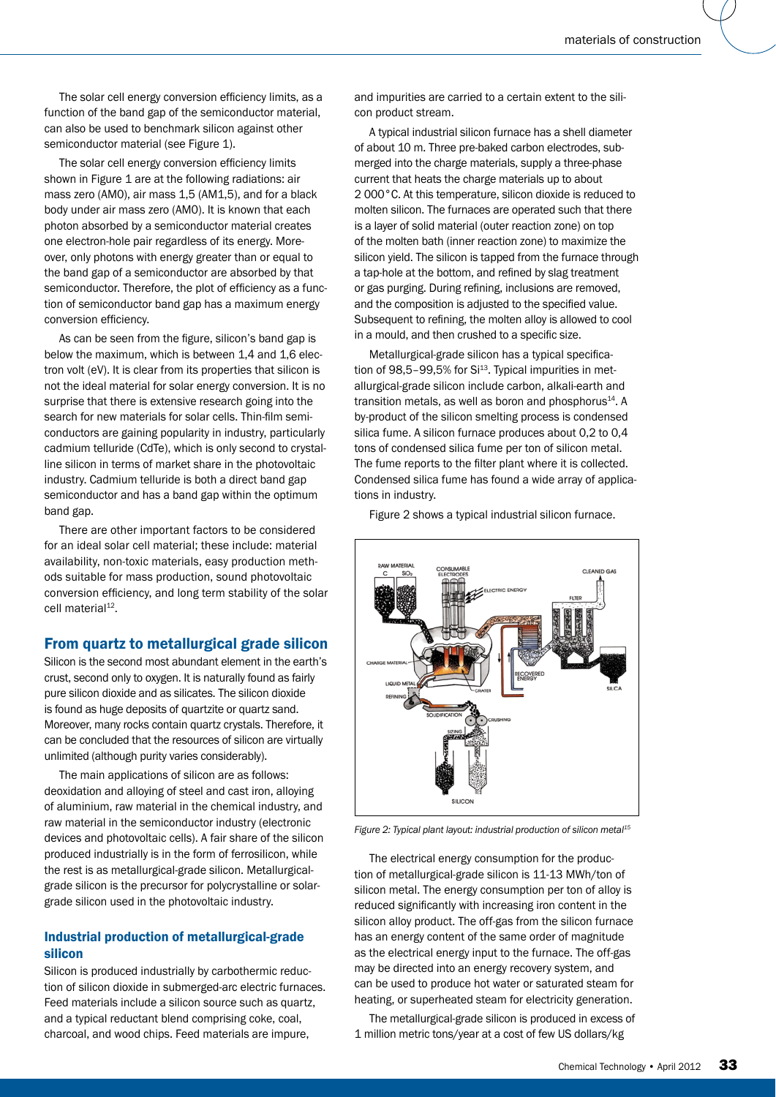The solar cell energy conversion efficiency limits, as a function of the band gap of the semiconductor material, can also be used to benchmark silicon against other semiconductor material (see Figure 1).

The solar cell energy conversion efficiency limits shown in Figure 1 are at the following radiations: air mass zero (AM0), air mass 1,5 (AM1,5), and for a black body under air mass zero (AM0). It is known that each photon absorbed by a semiconductor material creates one electron-hole pair regardless of its energy. Moreover, only photons with energy greater than or equal to the band gap of a semiconductor are absorbed by that semiconductor. Therefore, the plot of efficiency as a function of semiconductor band gap has a maximum energy conversion efficiency.

As can be seen from the figure, silicon's band gap is below the maximum, which is between 1,4 and 1,6 electron volt (eV). It is clear from its properties that silicon is not the ideal material for solar energy conversion. It is no surprise that there is extensive research going into the search for new materials for solar cells. Thin-film semiconductors are gaining popularity in industry, particularly cadmium telluride (CdTe), which is only second to crystalline silicon in terms of market share in the photovoltaic industry. Cadmium telluride is both a direct band gap semiconductor and has a band gap within the optimum band gap.

There are other important factors to be considered for an ideal solar cell material; these include: material availability, non-toxic materials, easy production methods suitable for mass production, sound photovoltaic conversion efficiency, and long term stability of the solar cell material<sup>12</sup>.

# From quartz to metallurgical grade silicon

Silicon is the second most abundant element in the earth's crust, second only to oxygen. It is naturally found as fairly pure silicon dioxide and as silicates. The silicon dioxide is found as huge deposits of quartzite or quartz sand. Moreover, many rocks contain quartz crystals. Therefore, it can be concluded that the resources of silicon are virtually unlimited (although purity varies considerably).

The main applications of silicon are as follows: deoxidation and alloying of steel and cast iron, alloying of aluminium, raw material in the chemical industry, and raw material in the semiconductor industry (electronic devices and photovoltaic cells). A fair share of the silicon produced industrially is in the form of ferrosilicon, while the rest is as metallurgical-grade silicon. Metallurgicalgrade silicon is the precursor for polycrystalline or solargrade silicon used in the photovoltaic industry.

# Industrial production of metallurgical-grade silicon

Silicon is produced industrially by carbothermic reduction of silicon dioxide in submerged-arc electric furnaces. Feed materials include a silicon source such as quartz, and a typical reductant blend comprising coke, coal, charcoal, and wood chips. Feed materials are impure,

and impurities are carried to a certain extent to the silicon product stream.

A typical industrial silicon furnace has a shell diameter of about 10 m. Three pre-baked carbon electrodes, submerged into the charge materials, supply a three-phase current that heats the charge materials up to about 2 000°C. At this temperature, silicon dioxide is reduced to molten silicon. The furnaces are operated such that there is a layer of solid material (outer reaction zone) on top of the molten bath (inner reaction zone) to maximize the silicon yield. The silicon is tapped from the furnace through a tap-hole at the bottom, and refined by slag treatment or gas purging. During refining, inclusions are removed, and the composition is adjusted to the specified value. Subsequent to refining, the molten alloy is allowed to cool in a mould, and then crushed to a specific size.

Metallurgical-grade silicon has a typical specification of  $98.5-99.5%$  for  $Si<sup>13</sup>$ . Typical impurities in metallurgical-grade silicon include carbon, alkali-earth and transition metals, as well as boron and phosphorus<sup>14</sup>. A by-product of the silicon smelting process is condensed silica fume. A silicon furnace produces about 0,2 to 0,4 tons of condensed silica fume per ton of silicon metal. The fume reports to the filter plant where it is collected. Condensed silica fume has found a wide array of applications in industry.

Figure 2 shows a typical industrial silicon furnace.



*Figure 2: Typical plant layout: industrial production of silicon metal15*

The electrical energy consumption for the production of metallurgical-grade silicon is 11-13 MWh/ton of silicon metal. The energy consumption per ton of alloy is reduced significantly with increasing iron content in the silicon alloy product. The off-gas from the silicon furnace has an energy content of the same order of magnitude as the electrical energy input to the furnace. The off-gas may be directed into an energy recovery system, and can be used to produce hot water or saturated steam for heating, or superheated steam for electricity generation.

The metallurgical-grade silicon is produced in excess of 1 million metric tons/year at a cost of few US dollars/kg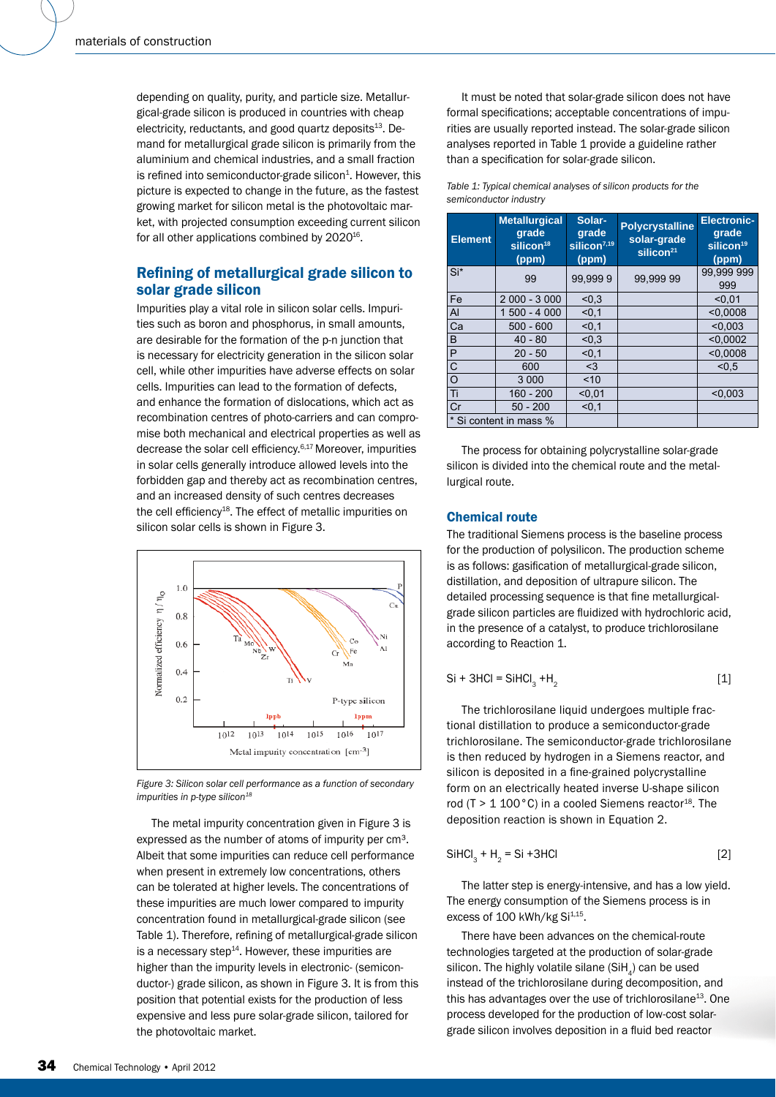depending on quality, purity, and particle size. Metallurgical-grade silicon is produced in countries with cheap electricity, reductants, and good quartz deposits<sup>13</sup>. Demand for metallurgical grade silicon is primarily from the aluminium and chemical industries, and a small fraction is refined into semiconductor-grade silicon $1$ . However, this picture is expected to change in the future, as the fastest growing market for silicon metal is the photovoltaic market, with projected consumption exceeding current silicon for all other applications combined by 2020<sup>16</sup>.

# Refining of metallurgical grade silicon to solar grade silicon

Impurities play a vital role in silicon solar cells. Impurities such as boron and phosphorus, in small amounts, are desirable for the formation of the p-n junction that is necessary for electricity generation in the silicon solar cell, while other impurities have adverse effects on solar cells. Impurities can lead to the formation of defects, and enhance the formation of dislocations, which act as recombination centres of photo-carriers and can compromise both mechanical and electrical properties as well as decrease the solar cell efficiency.<sup>6,17</sup> Moreover, impurities in solar cells generally introduce allowed levels into the forbidden gap and thereby act as recombination centres, and an increased density of such centres decreases the cell efficiency<sup>18</sup>. The effect of metallic impurities on silicon solar cells is shown in Figure 3.



*Figure 3: Silicon solar cell performance as a function of secondary impurities in p-type silicon*<sup>18</sup>

The metal impurity concentration given in Figure 3 is expressed as the number of atoms of impurity per cm<sup>3</sup>. Albeit that some impurities can reduce cell performance when present in extremely low concentrations, others can be tolerated at higher levels. The concentrations of these impurities are much lower compared to impurity concentration found in metallurgical-grade silicon (see Table 1). Therefore, refining of metallurgical-grade silicon is a necessary step $14$ . However, these impurities are higher than the impurity levels in electronic- (semiconductor-) grade silicon, as shown in Figure 3. It is from this position that potential exists for the production of less expensive and less pure solar-grade silicon, tailored for the photovoltaic market.

It must be noted that solar-grade silicon does not have formal specifications; acceptable concentrations of impurities are usually reported instead. The solar-grade silicon analyses reported in Table 1 provide a guideline rather than a specification for solar-grade silicon.

*Table 1: Typical chemical analyses of silicon products for the semiconductor industry*

| <b>Element</b>         | <b>Metallurgical</b><br>grade<br>silicon <sup>18</sup><br>(ppm) | Solar-<br>grade<br>silicon <sup>7,19</sup><br>(ppm) | <b>Polycrystalline</b><br>solar-grade<br>silicon <sup>21</sup> | <b>Electronic-</b><br>grade<br>silicon <sup>19</sup><br>(ppm) |
|------------------------|-----------------------------------------------------------------|-----------------------------------------------------|----------------------------------------------------------------|---------------------------------------------------------------|
| Si*                    | 99                                                              | 99,9999                                             | 99.999 99                                                      | 99,999 999<br>999                                             |
| Fe                     | $2000 - 3000$                                                   | < 0.3                                               |                                                                | < 0.01                                                        |
| $\overline{A}$         | 1 500 - 4 000                                                   | < 0.1                                               |                                                                | < 0.0008                                                      |
| Ca                     | $500 - 600$                                                     | < 0.1                                               |                                                                | < 0.003                                                       |
| B                      | $40 - 80$                                                       | < 0.3                                               |                                                                | < 0.0002                                                      |
| P                      | $20 - 50$                                                       | < 0.1                                               |                                                                | < 0.0008                                                      |
| $\overline{C}$         | 600                                                             | $3$                                                 |                                                                | < 0.5                                                         |
| l O                    | 3 0 0 0                                                         | ~10                                                 |                                                                |                                                               |
| Πī                     | $160 - 200$                                                     | < 0.01                                              |                                                                | < 0.003                                                       |
| Cr                     | $50 - 200$                                                      | < 0.1                                               |                                                                |                                                               |
| * Si content in mass % |                                                                 |                                                     |                                                                |                                                               |

The process for obtaining polycrystalline solar-grade silicon is divided into the chemical route and the metallurgical route.

# Chemical route

The traditional Siemens process is the baseline process for the production of polysilicon. The production scheme is as follows: gasification of metallurgical-grade silicon, distillation, and deposition of ultrapure silicon. The detailed processing sequence is that fine metallurgicalgrade silicon particles are fluidized with hydrochloric acid, in the presence of a catalyst, to produce trichlorosilane according to Reaction 1.

$$
Si + 3HCl = SiHCl3 + H2
$$
 [1]

The trichlorosilane liquid undergoes multiple fractional distillation to produce a semiconductor-grade trichlorosilane. The semiconductor-grade trichlorosilane is then reduced by hydrogen in a Siemens reactor, and silicon is deposited in a fine-grained polycrystalline form on an electrically heated inverse U-shape silicon rod (T >  $1 100^{\circ}$ C) in a cooled Siemens reactor<sup>18</sup>. The deposition reaction is shown in Equation 2.

$$
SiHCl3 + H2 = Si +3HCl
$$
 [2]

The latter step is energy-intensive, and has a low yield. The energy consumption of the Siemens process is in excess of  $100$  kWh/kg Si $^{1,15}$ .

There have been advances on the chemical-route technologies targeted at the production of solar-grade silicon. The highly volatile silane (SiH $_{4}$ ) can be used instead of the trichlorosilane during decomposition, and this has advantages over the use of trichlorosilane $^{13}$ . One process developed for the production of low-cost solargrade silicon involves deposition in a fluid bed reactor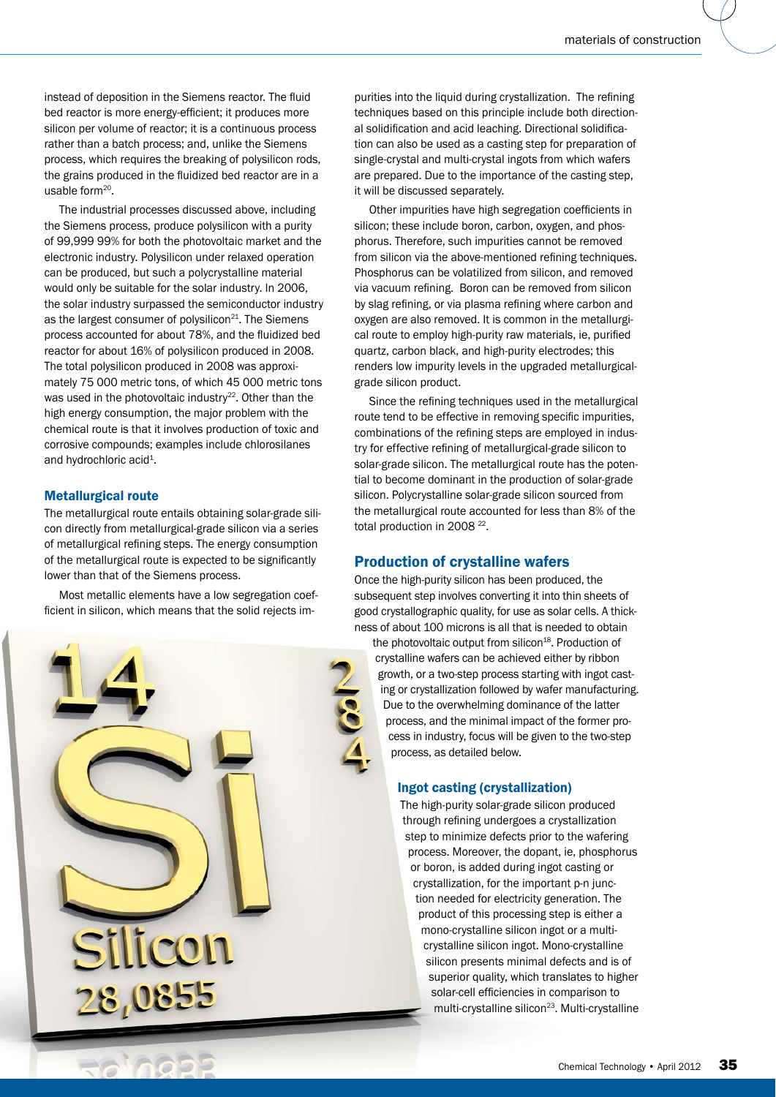instead of deposition in the Siemens reactor. The fluid bed reactor is more energy-efficient; it produces more silicon per volume of reactor; it is a continuous process rather than a batch process; and, unlike the Siemens process, which requires the breaking of polysilicon rods, the grains produced in the fluidized bed reactor are in a usable form<sup>20</sup>.

The industrial processes discussed above, including the Siemens process, produce polysilicon with a purity of 99,999 99% for both the photovoltaic market and the electronic industry. Polysilicon under relaxed operation can be produced, but such a polycrystalline material would only be suitable for the solar industry. In 2006, the solar industry surpassed the semiconductor industry as the largest consumer of polysilicon<sup>21</sup>. The Siemens process accounted for about 78%, and the fluidized bed reactor for about 16% of polysilicon produced in 2008. The total polysilicon produced in 2008 was approximately 75 000 metric tons, of which 45 000 metric tons was used in the photovoltaic industry $22$ . Other than the high energy consumption, the major problem with the chemical route is that it involves production of toxic and corrosive compounds; examples include chlorosilanes and hydrochloric acid<sup>1</sup>.

# Metallurgical route

The metallurgical route entails obtaining solar-grade silicon directly from metallurgical-grade silicon via a series of metallurgical refining steps. The energy consumption of the metallurgical route is expected to be significantly lower than that of the Siemens process.

Most metallic elements have a low segregation coefficient in silicon, which means that the solid rejects im-



purities into the liquid during crystallization. The refining techniques based on this principle include both directional solidification and acid leaching. Directional solidification can also be used as a casting step for preparation of single-crystal and multi-crystal ingots from which wafers are prepared. Due to the importance of the casting step, it will be discussed separately.

Other impurities have high segregation coefficients in silicon; these include boron, carbon, oxygen, and phosphorus. Therefore, such impurities cannot be removed from silicon via the above-mentioned refining techniques. Phosphorus can be volatilized from silicon, and removed via vacuum refining. Boron can be removed from silicon by slag refining, or via plasma refining where carbon and oxygen are also removed. It is common in the metallurgical route to employ high-purity raw materials, ie, purified quartz, carbon black, and high-purity electrodes; this renders low impurity levels in the upgraded metallurgicalgrade silicon product.

Since the refining techniques used in the metallurgical route tend to be effective in removing specific impurities, combinations of the refining steps are employed in industry for effective refining of metallurgical-grade silicon to solar-grade silicon. The metallurgical route has the potential to become dominant in the production of solar-grade silicon. Polycrystalline solar-grade silicon sourced from the metallurgical route accounted for less than 8% of the total production in 2008<sup>22</sup>.

# Production of crystalline wafers

Once the high-purity silicon has been produced, the subsequent step involves converting it into thin sheets of good crystallographic quality, for use as solar cells. A thickness of about 100 microns is all that is needed to obtain

the photovoltaic output from silicon<sup>18</sup>. Production of crystalline wafers can be achieved either by ribbon growth, or a two-step process starting with ingot casting or crystallization followed by wafer manufacturing. Due to the overwhelming dominance of the latter process, and the minimal impact of the former process in industry, focus will be given to the two-step process, as detailed below.

#### Ingot casting (crystallization)

The high-purity solar-grade silicon produced through refining undergoes a crystallization step to minimize defects prior to the wafering process. Moreover, the dopant, ie, phosphorus or boron, is added during ingot casting or crystallization, for the important p-n junction needed for electricity generation. The product of this processing step is either a mono-crystalline silicon ingot or a multicrystalline silicon ingot. Mono-crystalline silicon presents minimal defects and is of superior quality, which translates to higher solar-cell efficiencies in comparison to multi-crystalline silicon<sup>23</sup>. Multi-crystalline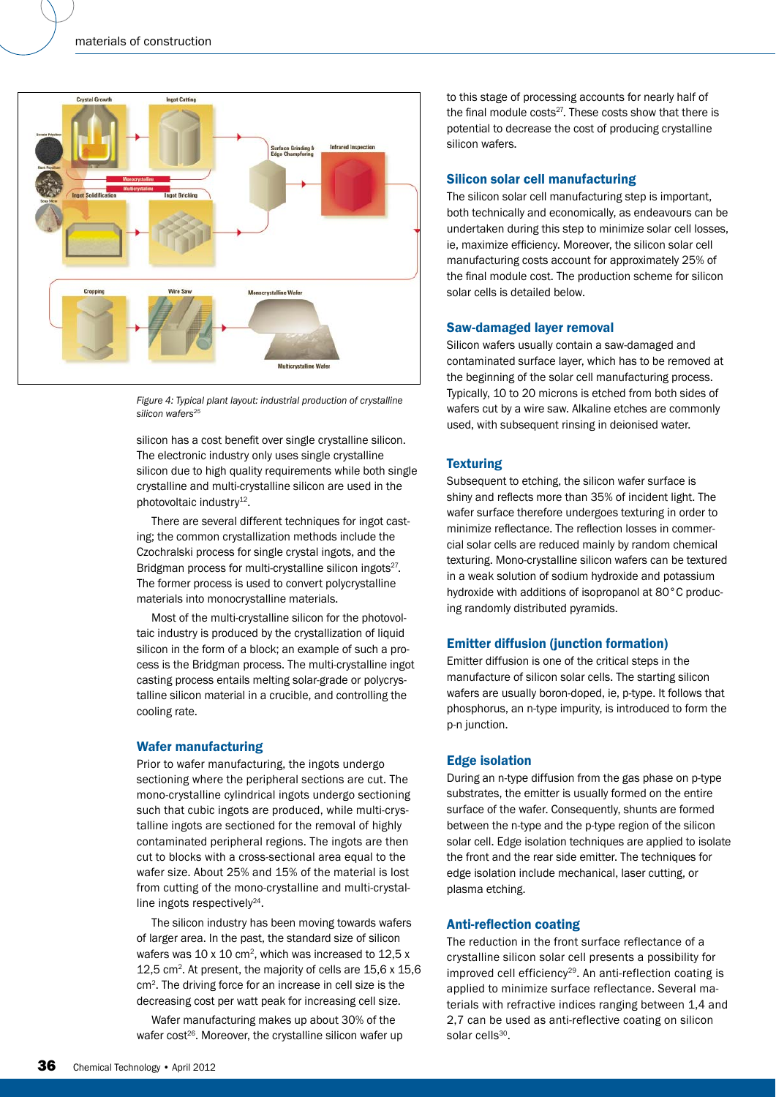

*Figure 4: Typical plant layout: industrial production of crystalline silicon wafers25*

silicon has a cost benefit over single crystalline silicon. The electronic industry only uses single crystalline silicon due to high quality requirements while both single crystalline and multi-crystalline silicon are used in the photovoltaic industry<sup>12</sup>.

There are several different techniques for ingot casting; the common crystallization methods include the Czochralski process for single crystal ingots, and the Bridgman process for multi-crystalline silicon ingots<sup>27</sup>. The former process is used to convert polycrystalline materials into monocrystalline materials.

Most of the multi-crystalline silicon for the photovoltaic industry is produced by the crystallization of liquid silicon in the form of a block; an example of such a process is the Bridgman process. The multi-crystalline ingot casting process entails melting solar-grade or polycrystalline silicon material in a crucible, and controlling the cooling rate.

# Wafer manufacturing

Prior to wafer manufacturing, the ingots undergo sectioning where the peripheral sections are cut. The mono-crystalline cylindrical ingots undergo sectioning such that cubic ingots are produced, while multi-crystalline ingots are sectioned for the removal of highly contaminated peripheral regions. The ingots are then cut to blocks with a cross-sectional area equal to the wafer size. About 25% and 15% of the material is lost from cutting of the mono-crystalline and multi-crystalline ingots respectively $24$ .

The silicon industry has been moving towards wafers of larger area. In the past, the standard size of silicon wafers was 10 x 10 cm<sup>2</sup>, which was increased to 12,5 x 12,5 cm<sup>2</sup>. At present, the majority of cells are 15,6 x 15,6 cm2. The driving force for an increase in cell size is the decreasing cost per watt peak for increasing cell size.

Wafer manufacturing makes up about 30% of the wafer cost<sup>26</sup>. Moreover, the crystalline silicon wafer up

to this stage of processing accounts for nearly half of the final module costs $27$ . These costs show that there is potential to decrease the cost of producing crystalline silicon wafers.

#### Silicon solar cell manufacturing

The silicon solar cell manufacturing step is important, both technically and economically, as endeavours can be undertaken during this step to minimize solar cell losses, ie, maximize efficiency. Moreover, the silicon solar cell manufacturing costs account for approximately 25% of the final module cost. The production scheme for silicon solar cells is detailed below.

#### Saw-damaged layer removal

Silicon wafers usually contain a saw-damaged and contaminated surface layer, which has to be removed at the beginning of the solar cell manufacturing process. Typically, 10 to 20 microns is etched from both sides of wafers cut by a wire saw. Alkaline etches are commonly used, with subsequent rinsing in deionised water.

# **Texturing**

Subsequent to etching, the silicon wafer surface is shiny and reflects more than 35% of incident light. The wafer surface therefore undergoes texturing in order to minimize reflectance. The reflection losses in commercial solar cells are reduced mainly by random chemical texturing. Mono-crystalline silicon wafers can be textured in a weak solution of sodium hydroxide and potassium hydroxide with additions of isopropanol at 80°C producing randomly distributed pyramids.

#### Emitter diffusion (junction formation)

Emitter diffusion is one of the critical steps in the manufacture of silicon solar cells. The starting silicon wafers are usually boron-doped, ie, p-type. It follows that phosphorus, an n-type impurity, is introduced to form the p-n junction.

# Edge isolation

During an n-type diffusion from the gas phase on p-type substrates, the emitter is usually formed on the entire surface of the wafer. Consequently, shunts are formed between the n-type and the p-type region of the silicon solar cell. Edge isolation techniques are applied to isolate the front and the rear side emitter. The techniques for edge isolation include mechanical, laser cutting, or plasma etching.

# **Anti-reflection coating**

The reduction in the front surface reflectance of a crystalline silicon solar cell presents a possibility for improved cell efficiency<sup>29</sup>. An anti-reflection coating is applied to minimize surface reflectance. Several materials with refractive indices ranging between 1,4 and 2,7 can be used as anti-reflective coating on silicon solar cells<sup>30</sup>.